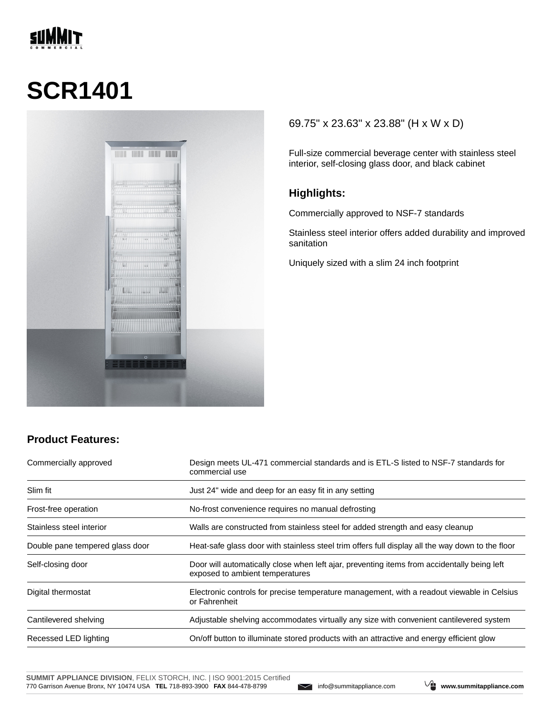

# **SCR1401**



### 69.75" x 23.63" x 23.88" (H x W x D)

Full-size commercial beverage center with stainless steel interior, self-closing glass door, and black cabinet

#### **Highlights:**

Commercially approved to NSF-7 standards

Stainless steel interior offers added durability and improved sanitation

Uniquely sized with a slim 24 inch footprint

## **Product Features:**

| Commercially approved           | Design meets UL-471 commercial standards and is ETL-S listed to NSF-7 standards for<br>commercial use                          |  |
|---------------------------------|--------------------------------------------------------------------------------------------------------------------------------|--|
| Slim fit                        | Just 24" wide and deep for an easy fit in any setting                                                                          |  |
| Frost-free operation            | No-frost convenience requires no manual defrosting                                                                             |  |
| Stainless steel interior        | Walls are constructed from stainless steel for added strength and easy cleanup                                                 |  |
| Double pane tempered glass door | Heat-safe glass door with stainless steel trim offers full display all the way down to the floor                               |  |
| Self-closing door               | Door will automatically close when left ajar, preventing items from accidentally being left<br>exposed to ambient temperatures |  |
| Digital thermostat              | Electronic controls for precise temperature management, with a readout viewable in Celsius<br>or Fahrenheit                    |  |
| Cantilevered shelving           | Adjustable shelving accommodates virtually any size with convenient cantilevered system                                        |  |
| Recessed LED lighting           | On/off button to illuminate stored products with an attractive and energy efficient glow                                       |  |

**SUMMIT APPLIANCE DIVISION**, FELIX STORCH, INC. | ISO 9001:2015 Certified 770 Garrison Avenue Bronx, NY 10474 USA **TEL** 718-893-3900 **FAX** 844-478-8799 info@summitappliance.com **www.summitappliance.com**